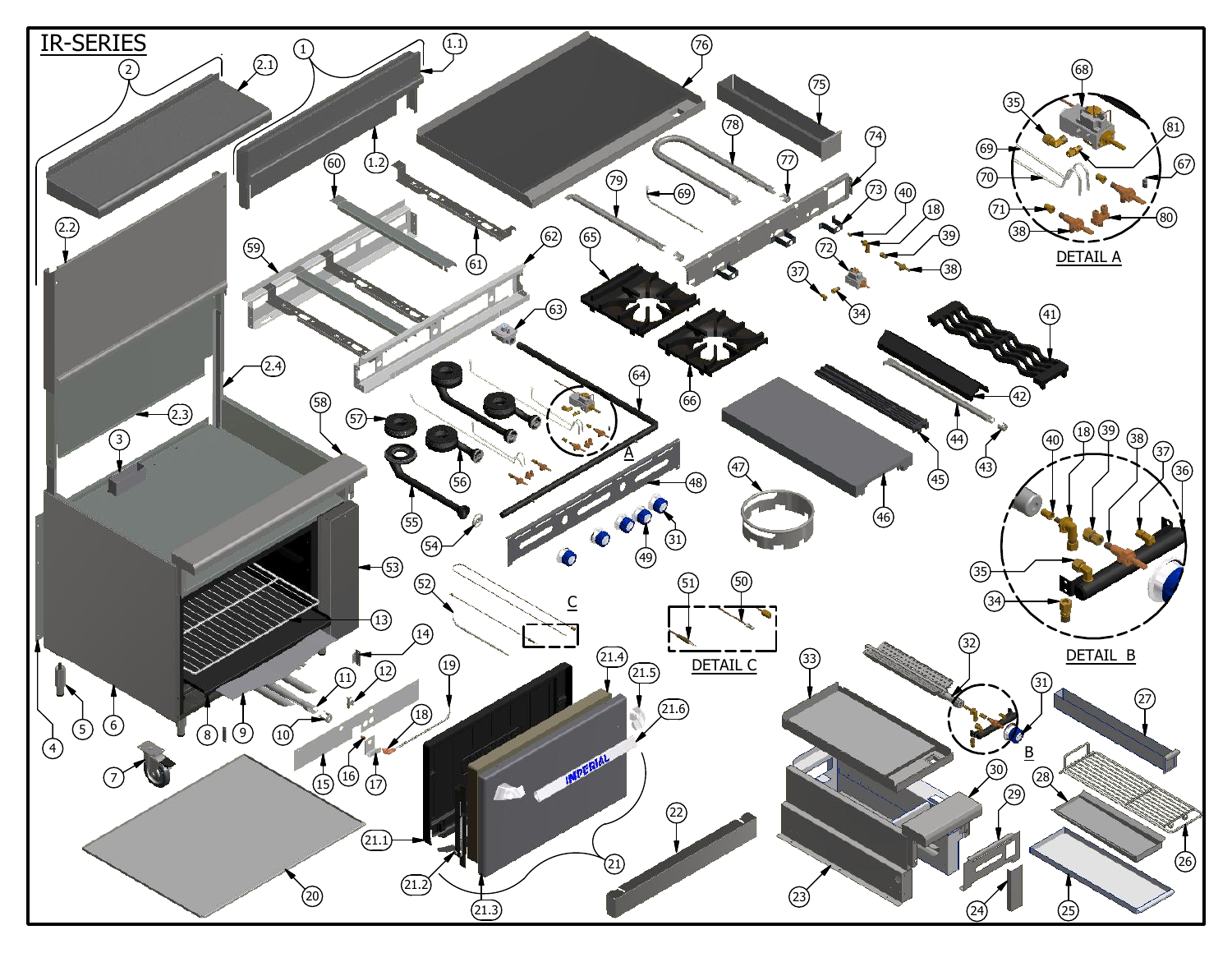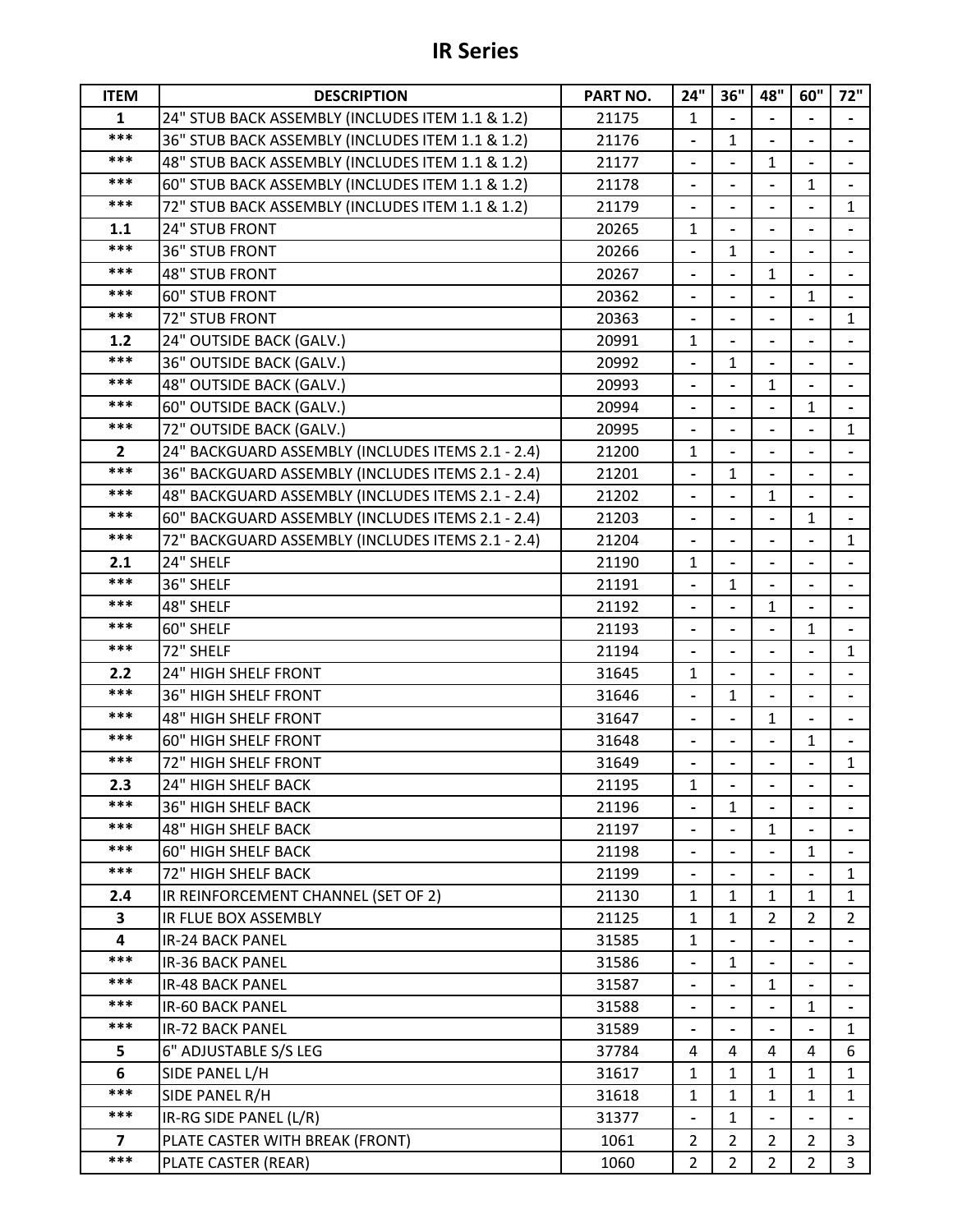| <b>ITEM</b>             | <b>DESCRIPTION</b>                                | PART NO. | 24"                          | 36"            | 48"                      | 60"                          | 72"                      |
|-------------------------|---------------------------------------------------|----------|------------------------------|----------------|--------------------------|------------------------------|--------------------------|
| $\mathbf{1}$            | 24" STUB BACK ASSEMBLY (INCLUDES ITEM 1.1 & 1.2)  | 21175    | 1                            |                |                          |                              |                          |
| ***                     | 36" STUB BACK ASSEMBLY (INCLUDES ITEM 1.1 & 1.2)  | 21176    | $\overline{\phantom{a}}$     | 1              |                          |                              |                          |
| ***                     | 48" STUB BACK ASSEMBLY (INCLUDES ITEM 1.1 & 1.2)  | 21177    | $\qquad \qquad \blacksquare$ |                | $\mathbf{1}$             |                              |                          |
| $***$                   | 60" STUB BACK ASSEMBLY (INCLUDES ITEM 1.1 & 1.2)  | 21178    |                              |                |                          | $\mathbf{1}$                 |                          |
| $***$                   | 72" STUB BACK ASSEMBLY (INCLUDES ITEM 1.1 & 1.2)  | 21179    | $\blacksquare$               |                | $\overline{\phantom{a}}$ |                              | $\mathbf{1}$             |
| 1.1                     | 24" STUB FRONT                                    | 20265    | 1                            |                |                          |                              |                          |
| ***                     | <b>36" STUB FRONT</b>                             | 20266    | $\qquad \qquad \blacksquare$ | $\mathbf{1}$   |                          | $\qquad \qquad \blacksquare$ |                          |
| $***$                   | <b>48" STUB FRONT</b>                             | 20267    | $\qquad \qquad \blacksquare$ |                | 1                        |                              |                          |
| $***$                   | <b>60" STUB FRONT</b>                             | 20362    |                              |                |                          | $\mathbf{1}$                 |                          |
| ***                     | 72" STUB FRONT                                    | 20363    | $\overline{\phantom{a}}$     | $\blacksquare$ |                          |                              | $\mathbf{1}$             |
| 1.2                     | 24" OUTSIDE BACK (GALV.)                          | 20991    | 1                            |                |                          |                              |                          |
| ***                     | 36" OUTSIDE BACK (GALV.)                          | 20992    |                              | $\mathbf{1}$   |                          |                              |                          |
| $***$                   | 48" OUTSIDE BACK (GALV.)                          | 20993    | $\overline{\phantom{a}}$     |                | 1                        | $\overline{\phantom{a}}$     | $\overline{\phantom{a}}$ |
| $***$                   | 60" OUTSIDE BACK (GALV.)                          | 20994    | $\overline{\phantom{0}}$     |                |                          | $\mathbf{1}$                 |                          |
| $***$                   | 72" OUTSIDE BACK (GALV.)                          | 20995    |                              |                |                          |                              | $\mathbf{1}$             |
| $\overline{2}$          | 24" BACKGUARD ASSEMBLY (INCLUDES ITEMS 2.1 - 2.4) | 21200    | 1                            |                |                          |                              |                          |
| ***                     | 36" BACKGUARD ASSEMBLY (INCLUDES ITEMS 2.1 - 2.4) | 21201    | $\overline{\phantom{0}}$     | $\mathbf{1}$   |                          |                              |                          |
| $***$                   | 48" BACKGUARD ASSEMBLY (INCLUDES ITEMS 2.1 - 2.4) | 21202    | $\qquad \qquad \blacksquare$ |                | 1                        |                              | $\blacksquare$           |
| ***                     | 60" BACKGUARD ASSEMBLY (INCLUDES ITEMS 2.1 - 2.4) | 21203    |                              |                |                          | 1                            |                          |
| $***$                   | 72" BACKGUARD ASSEMBLY (INCLUDES ITEMS 2.1 - 2.4) | 21204    |                              |                |                          |                              | $\mathbf{1}$             |
| 2.1                     | 24" SHELF                                         | 21190    | 1                            |                |                          |                              |                          |
| ***                     | 36" SHELF                                         | 21191    | $\overline{\phantom{a}}$     | $\mathbf{1}$   |                          |                              |                          |
| ***                     | 48" SHELF                                         | 21192    | $\overline{\phantom{a}}$     |                | $\mathbf{1}$             |                              | $\overline{\phantom{0}}$ |
| $***$                   | 60" SHELF                                         | 21193    | $\blacksquare$               |                |                          | $\mathbf{1}$                 |                          |
| ***                     | 72" SHELF                                         | 21194    |                              |                |                          |                              | $\mathbf{1}$             |
| 2.2                     | 24" HIGH SHELF FRONT                              | 31645    | 1                            |                | $\overline{a}$           | $\qquad \qquad \blacksquare$ |                          |
| ***                     | 36" HIGH SHELF FRONT                              | 31646    | $\blacksquare$               | 1              |                          |                              |                          |
| $***$                   | <b>48" HIGH SHELF FRONT</b>                       | 31647    | $\qquad \qquad \blacksquare$ |                | 1                        |                              |                          |
| $***$                   | <b>60" HIGH SHELF FRONT</b>                       | 31648    |                              |                |                          | 1                            |                          |
| $***$                   | 72" HIGH SHELF FRONT                              | 31649    | $\qquad \qquad \blacksquare$ |                | $\blacksquare$           | $\qquad \qquad \blacksquare$ | $\mathbf{1}$             |
| 2.3                     | 24" HIGH SHELF BACK                               | 21195    | 1                            | ٠              | $\blacksquare$           | ٠                            | $\blacksquare$           |
| ***                     | <b>36" HIGH SHELF BACK</b>                        | 21196    |                              | $\mathbf{1}$   |                          |                              |                          |
| ***                     | <b>48" HIGH SHELF BACK</b>                        | 21197    |                              |                | 1                        |                              |                          |
| $***$                   | <b>60" HIGH SHELF BACK</b>                        | 21198    | $\qquad \qquad \blacksquare$ |                |                          | 1                            |                          |
| ***                     | 72" HIGH SHELF BACK                               | 21199    |                              |                |                          |                              | $\mathbf{1}$             |
| 2.4                     | IR REINFORCEMENT CHANNEL (SET OF 2)               | 21130    | $\mathbf{1}$                 | 1              | 1                        | 1                            | 1                        |
| $\mathbf{3}$            | IR FLUE BOX ASSEMBLY                              | 21125    | $\mathbf{1}$                 | $\mathbf{1}$   | 2                        | $\overline{2}$               | $\overline{2}$           |
| $\overline{\mathbf{4}}$ | <b>IR-24 BACK PANEL</b>                           | 31585    | $\mathbf{1}$                 |                |                          |                              |                          |
| $***$                   | <b>IR-36 BACK PANEL</b>                           | 31586    | $\overline{\phantom{a}}$     | 1              |                          |                              |                          |
| ***                     | <b>IR-48 BACK PANEL</b>                           | 31587    |                              |                | 1                        |                              |                          |
| ***                     | IR-60 BACK PANEL                                  | 31588    | $\blacksquare$               |                |                          | $\mathbf{1}$                 |                          |
| ***                     | <b>IR-72 BACK PANEL</b>                           | 31589    | $\overline{\phantom{0}}$     |                |                          |                              | $\mathbf{1}$             |
| 5                       | 6" ADJUSTABLE S/S LEG                             | 37784    | 4                            | 4              | 4                        | 4                            | 6                        |
| 6                       | SIDE PANEL L/H                                    | 31617    | 1                            | 1              | 1                        | 1                            | 1                        |
| ***                     | SIDE PANEL R/H                                    | 31618    | $\mathbf{1}$                 | $\mathbf{1}$   | $\mathbf{1}$             | $\mathbf{1}$                 | $\mathbf{1}$             |
| ***                     | IR-RG SIDE PANEL (L/R)                            | 31377    |                              | $\mathbf{1}$   |                          |                              |                          |
| 7                       | PLATE CASTER WITH BREAK (FRONT)                   | 1061     | $\overline{2}$               | $\overline{2}$ | $\overline{2}$           | $\overline{2}$               | 3                        |
| ***                     | PLATE CASTER (REAR)                               | 1060     | $\overline{2}$               | $\overline{2}$ | $\overline{2}$           | $\overline{2}$               | $\overline{3}$           |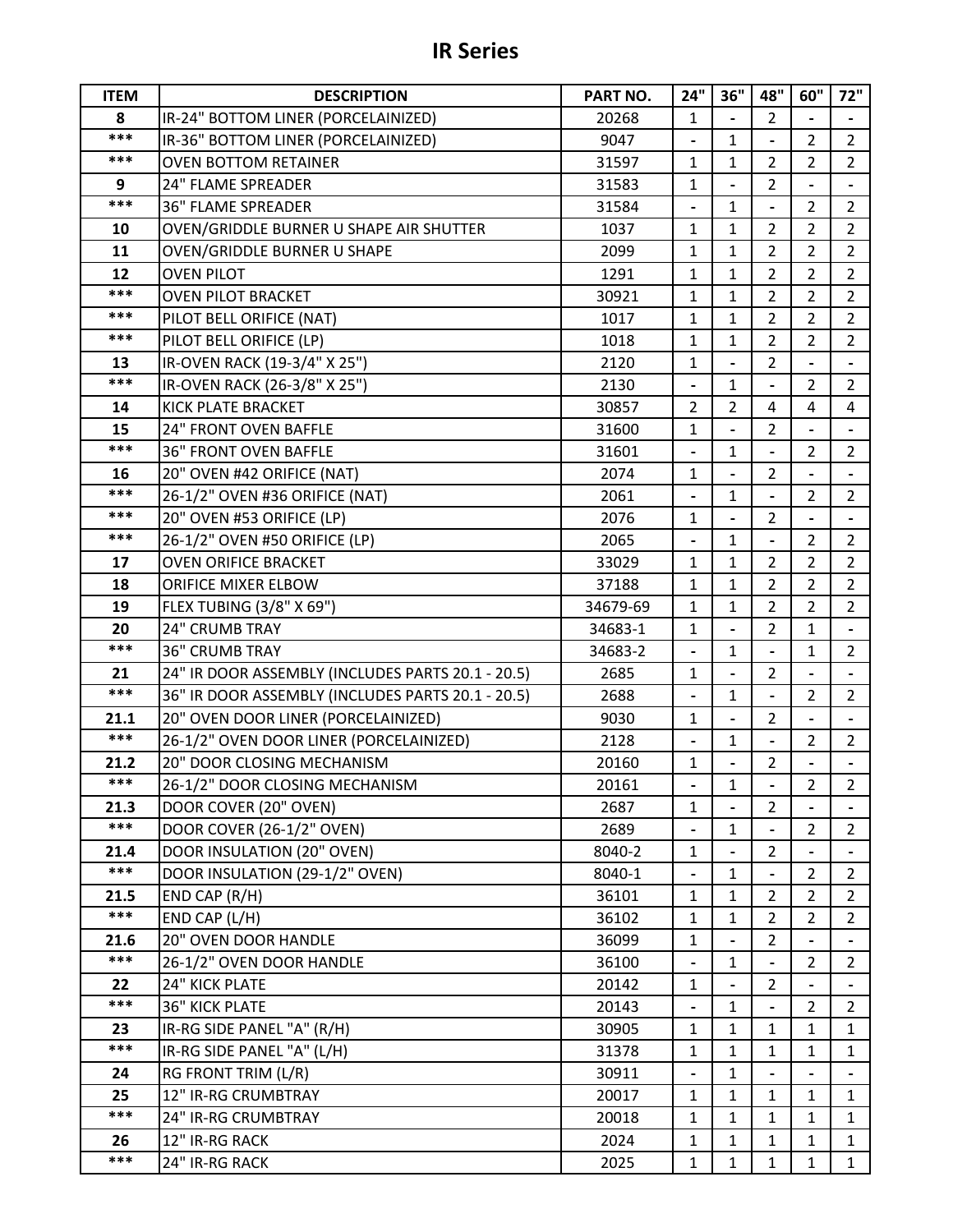## **IR Series**

| <b>ITEM</b>   | <b>DESCRIPTION</b>                                | PART NO. | 24"                          | 36"                          | 48"            | 60"            | 72"             |
|---------------|---------------------------------------------------|----------|------------------------------|------------------------------|----------------|----------------|-----------------|
| 8             | IR-24" BOTTOM LINER (PORCELAINIZED)               | 20268    | $\mathbf{1}$                 |                              | $\overline{2}$ |                |                 |
| ***           | IR-36" BOTTOM LINER (PORCELAINIZED)               | 9047     |                              | $\mathbf{1}$                 |                | $\overline{2}$ | $\overline{2}$  |
| ***           | <b>OVEN BOTTOM RETAINER</b>                       | 31597    | 1                            | 1                            | 2              | $\overline{2}$ | $\overline{2}$  |
| 9             | 24" FLAME SPREADER                                | 31583    | $\mathbf{1}$                 |                              | $\overline{2}$ |                |                 |
| ***           | <b>36" FLAME SPREADER</b>                         | 31584    |                              | $\mathbf{1}$                 |                | 2              | $\overline{2}$  |
| 10            | OVEN/GRIDDLE BURNER U SHAPE AIR SHUTTER           | 1037     | 1                            | 1                            | 2              | $\overline{2}$ | $\overline{2}$  |
| 11            | <b>OVEN/GRIDDLE BURNER U SHAPE</b>                | 2099     | 1                            | $\mathbf{1}$                 | $\overline{2}$ | $\overline{2}$ | $\overline{2}$  |
| 12            | <b>OVEN PILOT</b>                                 | 1291     | 1                            | 1                            | 2              | 2              | $\overline{2}$  |
| ***           | <b>OVEN PILOT BRACKET</b>                         | 30921    | $\mathbf{1}$                 | $\mathbf{1}$                 | $\overline{2}$ | $\overline{2}$ | $\overline{2}$  |
| ***           | PILOT BELL ORIFICE (NAT)                          | 1017     | 1                            | 1                            | 2              | $\overline{2}$ | $\overline{2}$  |
| $***$         | PILOT BELL ORIFICE (LP)                           | 1018     | 1                            | 1                            | 2              | $\overline{2}$ | $\overline{2}$  |
| 13            | IR-OVEN RACK (19-3/4" X 25")                      | 2120     | 1                            |                              | $\overline{2}$ |                |                 |
| ***           | IR-OVEN RACK (26-3/8" X 25")                      | 2130     |                              | 1                            |                | $\overline{2}$ | $\overline{2}$  |
| 14            | KICK PLATE BRACKET                                | 30857    | $\overline{2}$               | $\overline{2}$               | 4              | 4              | 4               |
| 15            | 24" FRONT OVEN BAFFLE                             | 31600    | 1                            |                              | $\overline{2}$ |                |                 |
| ***           | <b>36" FRONT OVEN BAFFLE</b>                      | 31601    | $\qquad \qquad \blacksquare$ | 1                            |                | $\overline{2}$ | $\overline{2}$  |
| 16            | 20" OVEN #42 ORIFICE (NAT)                        | 2074     | $\mathbf{1}$                 |                              | 2              |                |                 |
| ***           | 26-1/2" OVEN #36 ORIFICE (NAT)                    | 2061     |                              | $\mathbf{1}$                 |                | $\overline{2}$ | $\overline{2}$  |
| ***           | 20" OVEN #53 ORIFICE (LP)                         | 2076     | $\mathbf{1}$                 |                              | $\overline{2}$ |                |                 |
| ***           | 26-1/2" OVEN #50 ORIFICE (LP)                     | 2065     |                              | 1                            |                | $\overline{2}$ | $\overline{2}$  |
| 17            | <b>OVEN ORIFICE BRACKET</b>                       | 33029    | 1                            | 1                            | 2              | $\overline{2}$ | $\overline{2}$  |
| 18            | ORIFICE MIXER ELBOW                               | 37188    | 1                            | 1                            | 2              | $\overline{2}$ | $\overline{2}$  |
| 19            | FLEX TUBING (3/8" X 69")                          | 34679-69 | 1                            | $\mathbf{1}$                 | $\overline{2}$ | $\overline{2}$ | $\overline{2}$  |
| 20            | 24" CRUMB TRAY                                    | 34683-1  | 1                            | $\qquad \qquad \blacksquare$ | 2              | 1              |                 |
| ***           | <b>36" CRUMB TRAY</b>                             | 34683-2  |                              | $\mathbf{1}$                 |                | $\mathbf{1}$   | $\overline{2}$  |
| 21            | 24" IR DOOR ASSEMBLY (INCLUDES PARTS 20.1 - 20.5) | 2685     | 1                            |                              | 2              |                |                 |
| ***           | 36" IR DOOR ASSEMBLY (INCLUDES PARTS 20.1 - 20.5) | 2688     | $\blacksquare$               | $\mathbf{1}$                 |                | $\overline{2}$ | $\overline{2}$  |
| 21.1          | 20" OVEN DOOR LINER (PORCELAINIZED)               | 9030     | 1                            |                              | $\overline{2}$ |                |                 |
| $***$         | 26-1/2" OVEN DOOR LINER (PORCELAINIZED)           | 2128     |                              | 1                            |                | $\overline{2}$ | $\overline{2}$  |
| 21.2          | 20" DOOR CLOSING MECHANISM                        | 20160    | $\mathbf{1}$                 |                              | 2              |                |                 |
| ***           | 26-1/2" DOOR CLOSING MECHANISM                    | 20161    |                              | $\mathbf{1}$                 |                | $\overline{2}$ | $2\overline{ }$ |
| 21.3          | DOOR COVER (20" OVEN)                             | 2687     | $\mathbf{1}$                 |                              | $\overline{2}$ |                |                 |
| ***           | DOOR COVER (26-1/2" OVEN)                         | 2689     |                              | 1                            |                | $\overline{2}$ | $\overline{2}$  |
| 21.4<br>$***$ | DOOR INSULATION (20" OVEN)                        | 8040-2   | 1                            |                              | $\overline{2}$ |                |                 |
|               | DOOR INSULATION (29-1/2" OVEN)                    | 8040-1   | $\blacksquare$               | $\mathbf{1}$                 |                | $\overline{2}$ | $\overline{2}$  |
| 21.5<br>***   | END CAP (R/H)                                     | 36101    | $\mathbf{1}$                 | $\mathbf{1}$                 | $\overline{2}$ | $\overline{2}$ | $\overline{2}$  |
|               | END CAP (L/H)                                     | 36102    | 1                            | 1                            | 2              | $\overline{2}$ | $\overline{2}$  |
| 21.6<br>***   | 20" OVEN DOOR HANDLE                              | 36099    | $\mathbf{1}$                 |                              | $\overline{2}$ |                |                 |
|               | 26-1/2" OVEN DOOR HANDLE                          | 36100    |                              | $\mathbf{1}$                 |                | $\overline{2}$ | $\overline{2}$  |
| 22<br>***     | 24" KICK PLATE                                    | 20142    | $\mathbf{1}$                 |                              | $\overline{2}$ |                |                 |
|               | <b>36" KICK PLATE</b>                             | 20143    |                              | 1                            |                | $\overline{2}$ | $\overline{2}$  |
| 23<br>***     | IR-RG SIDE PANEL "A" (R/H)                        | 30905    | $\mathbf{1}$                 | 1                            | 1              | $\mathbf{1}$   | $\mathbf{1}$    |
|               | IR-RG SIDE PANEL "A" (L/H)                        | 31378    | 1                            | $\mathbf{1}$                 | 1              | $\mathbf{1}$   | $\mathbf{1}$    |
| 24            | RG FRONT TRIM (L/R)                               | 30911    |                              | $\mathbf{1}$                 |                |                |                 |
| 25<br>***     | 12" IR-RG CRUMBTRAY                               | 20017    | 1                            | 1                            | 1              | 1              | $\mathbf{1}$    |
|               | 24" IR-RG CRUMBTRAY                               | 20018    | $\mathbf{1}$                 | $\mathbf{1}$                 | $\mathbf{1}$   | $\mathbf{1}$   | $\mathbf{1}$    |
| 26<br>***     | 12" IR-RG RACK                                    | 2024     | 1                            | $\mathbf 1$                  | 1              | 1              | $\mathbf{1}$    |
|               | 24" IR-RG RACK                                    | 2025     | $\mathbf{1}$                 | $\mathbf{1}$                 | $\mathbf{1}$   | $\mathbf{1}$   | $\mathbf{1}$    |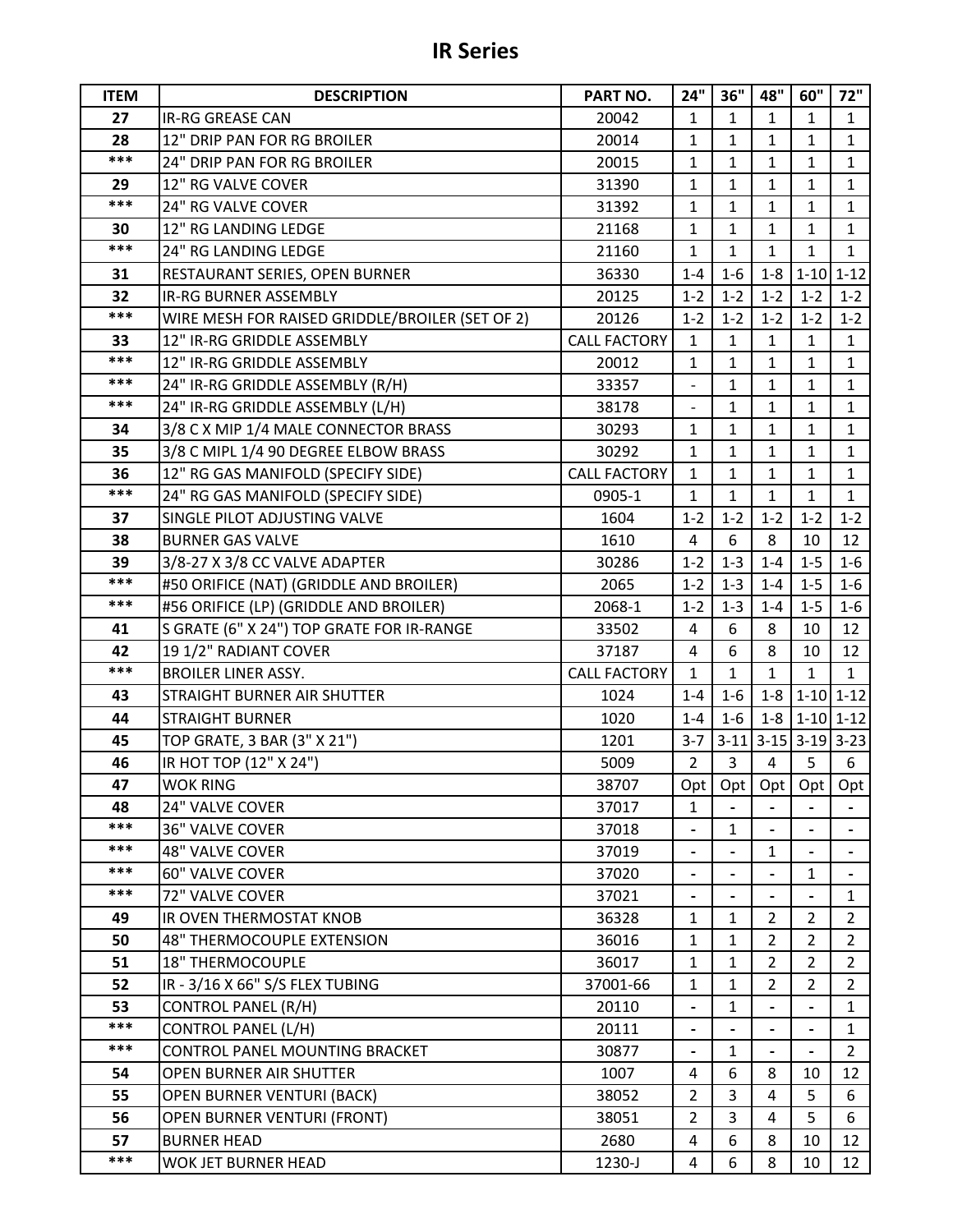## **IR Series**

| <b>ITEM</b> | <b>DESCRIPTION</b>                              | PART NO.            | 24"                              | 36"            | 48"            | 60"            | 72"                               |
|-------------|-------------------------------------------------|---------------------|----------------------------------|----------------|----------------|----------------|-----------------------------------|
| 27          | <b>IR-RG GREASE CAN</b>                         | 20042               | $\mathbf{1}$                     | $\mathbf{1}$   | $\mathbf{1}$   | $\mathbf{1}$   | $\mathbf{1}$                      |
| 28          | 12" DRIP PAN FOR RG BROILER                     | 20014               | 1                                | 1              | $\mathbf{1}$   | 1              | $\mathbf{1}$                      |
| ***         | 24" DRIP PAN FOR RG BROILER                     | 20015               | $\mathbf{1}$                     | 1              | 1              | $\mathbf{1}$   | $\mathbf{1}$                      |
| 29          | 12" RG VALVE COVER                              | 31390               | 1                                | $\mathbf{1}$   | $\mathbf{1}$   | $\mathbf{1}$   | $\mathbf{1}$                      |
| ***         | 24" RG VALVE COVER                              | 31392               | 1                                | 1              | 1              | 1              | $\mathbf{1}$                      |
| 30          | 12" RG LANDING LEDGE                            | 21168               | 1                                | $\mathbf{1}$   | 1              | 1              | $\mathbf{1}$                      |
| ***         | 24" RG LANDING LEDGE                            | 21160               | 1                                | $\mathbf{1}$   | $\mathbf{1}$   | $\mathbf{1}$   | $\mathbf{1}$                      |
| 31          | RESTAURANT SERIES, OPEN BURNER                  | 36330               | $1 - 4$                          | $1-6$          | $1 - 8$        | $1 - 10$       | $1 - 12$                          |
| 32          | <b>IR-RG BURNER ASSEMBLY</b>                    | 20125               | $1 - 2$                          | $1 - 2$        | $1 - 2$        | $1 - 2$        | $1 - 2$                           |
| ***         | WIRE MESH FOR RAISED GRIDDLE/BROILER (SET OF 2) | 20126               | $1 - 2$                          | $1 - 2$        | $1 - 2$        | $1 - 2$        | $1 - 2$                           |
| 33          | 12" IR-RG GRIDDLE ASSEMBLY                      | <b>CALL FACTORY</b> | $\mathbf{1}$                     | $\mathbf{1}$   | $\mathbf{1}$   | 1              | $\mathbf{1}$                      |
| $***$       | 12" IR-RG GRIDDLE ASSEMBLY                      | 20012               | $\mathbf{1}$                     | $\mathbf{1}$   | $\mathbf{1}$   | $\mathbf{1}$   | $\mathbf{1}$                      |
| ***         | 24" IR-RG GRIDDLE ASSEMBLY (R/H)                | 33357               |                                  | 1              | 1              | 1              | 1                                 |
| ***         | 24" IR-RG GRIDDLE ASSEMBLY (L/H)                | 38178               | $\overline{\phantom{0}}$         | $\mathbf{1}$   | $\mathbf{1}$   | $\mathbf{1}$   | $\mathbf{1}$                      |
| 34          | 3/8 C X MIP 1/4 MALE CONNECTOR BRASS            | 30293               | 1                                | 1              | $\mathbf{1}$   | 1              | $\mathbf{1}$                      |
| 35          | 3/8 C MIPL 1/4 90 DEGREE ELBOW BRASS            | 30292               | $\mathbf{1}$                     | 1              | 1              | 1              | $\mathbf{1}$                      |
| 36          | 12" RG GAS MANIFOLD (SPECIFY SIDE)              | <b>CALL FACTORY</b> | 1                                | 1              | 1              | 1              | $\mathbf{1}$                      |
| ***         | 24" RG GAS MANIFOLD (SPECIFY SIDE)              | 0905-1              | $\mathbf{1}$                     | 1              | $\mathbf{1}$   | 1              | $\mathbf{1}$                      |
| 37          | SINGLE PILOT ADJUSTING VALVE                    | 1604                | $1 - 2$                          | $1 - 2$        | $1 - 2$        | $1 - 2$        | $1 - 2$                           |
| 38          | <b>BURNER GAS VALVE</b>                         | 1610                | $\overline{4}$                   | 6              | 8              | 10             | 12                                |
| 39          | 3/8-27 X 3/8 CC VALVE ADAPTER                   | 30286               | $1 - 2$                          | $1 - 3$        | $1 - 4$        | $1 - 5$        | $1 - 6$                           |
| ***         | #50 ORIFICE (NAT) (GRIDDLE AND BROILER)         | 2065                | $1 - 2$                          | $1 - 3$        | $1 - 4$        | $1 - 5$        | $1 - 6$                           |
| ***         | #56 ORIFICE (LP) (GRIDDLE AND BROILER)          | 2068-1              | $1 - 2$                          | $1 - 3$        | $1 - 4$        | $1 - 5$        | $1-6$                             |
| 41          | S GRATE (6" X 24") TOP GRATE FOR IR-RANGE       | 33502               | 4                                | 6              | 8              | 10             | 12                                |
| 42          | 191/2" RADIANT COVER                            | 37187               | 4                                | 6              | 8              | 10             | 12                                |
| ***         | <b>BROILER LINER ASSY.</b>                      | <b>CALL FACTORY</b> | 1                                | 1              | $\mathbf{1}$   | 1              | $\mathbf{1}$                      |
| 43          | STRAIGHT BURNER AIR SHUTTER                     | 1024                | $1 - 4$                          | $1-6$          | $1 - 8$        |                | $1-10$ 1-12                       |
| 44          | <b>STRAIGHT BURNER</b>                          | 1020                | $1 - 4$                          | $1-6$          | $1-8$          |                | $1-10$ 1-12                       |
| 45          | TOP GRATE, 3 BAR (3" X 21")                     | 1201                | $3 - 7$                          |                |                |                | $3-11$   $3-15$   $3-19$   $3-23$ |
| 46          | IR HOT TOP (12" X 24")                          | 5009                | $\overline{2}$                   | $\overline{3}$ | $\overline{4}$ | 5              | 6                                 |
| 47          | <b>WOK RING</b>                                 | 38707               | Opt                              |                |                |                | Opt Opt Opt Opt                   |
| 48          | 24" VALVE COVER                                 | 37017               | $\mathbf{1}$                     |                |                |                |                                   |
| $***$       | 36" VALVE COVER                                 | 37018               |                                  | $\mathbf{1}$   |                |                |                                   |
| ***<br>***  | <b>48" VALVE COVER</b>                          | 37019               |                                  |                | 1              |                |                                   |
| ***         | 60" VALVE COVER                                 | 37020               |                                  |                |                | $\mathbf{1}$   |                                   |
|             | 72" VALVE COVER                                 | 37021               |                                  |                |                |                | $\mathbf{1}$                      |
| 49          | IR OVEN THERMOSTAT KNOB                         | 36328               | $\mathbf{1}$                     | 1              | 2              | 2              | $\overline{2}$                    |
| 50          | <b>48" THERMOCOUPLE EXTENSION</b>               | 36016               | $\mathbf{1}$                     | $\mathbf{1}$   | 2              | $\overline{2}$ | $\overline{2}$                    |
| 51          | <b>18" THERMOCOUPLE</b>                         | 36017               | 1                                | $\mathbf{1}$   | 2              | 2              | $\overline{2}$                    |
| 52          | IR - 3/16 X 66" S/S FLEX TUBING                 | 37001-66            | $\mathbf{1}$                     | $\mathbf{1}$   | $\overline{2}$ | $\overline{2}$ | $\overline{2}$                    |
| 53<br>$***$ | CONTROL PANEL (R/H)                             | 20110               |                                  | 1              |                |                | 1                                 |
| ***         | <b>CONTROL PANEL (L/H)</b>                      | 20111               | $\blacksquare$                   |                |                |                | $\mathbf{1}$                      |
|             | CONTROL PANEL MOUNTING BRACKET                  | 30877               |                                  | $\mathbf{1}$   |                |                | $\overline{2}$                    |
| 54          | OPEN BURNER AIR SHUTTER                         | 1007                | 4                                | 6              | 8              | 10             | 12                                |
| 55          | <b>OPEN BURNER VENTURI (BACK)</b>               | 38052               | $\overline{2}$<br>$\overline{2}$ | 3<br>3         | 4              | 5<br>5         | 6<br>6                            |
| 56<br>57    | OPEN BURNER VENTURI (FRONT)                     | 38051               |                                  | 6              | 4<br>8         |                |                                   |
| ***         | <b>BURNER HEAD</b>                              | 2680                | 4                                |                |                | 10             | 12                                |
|             | WOK JET BURNER HEAD                             | 1230-J              | 4                                | 6              | 8              | 10             | 12                                |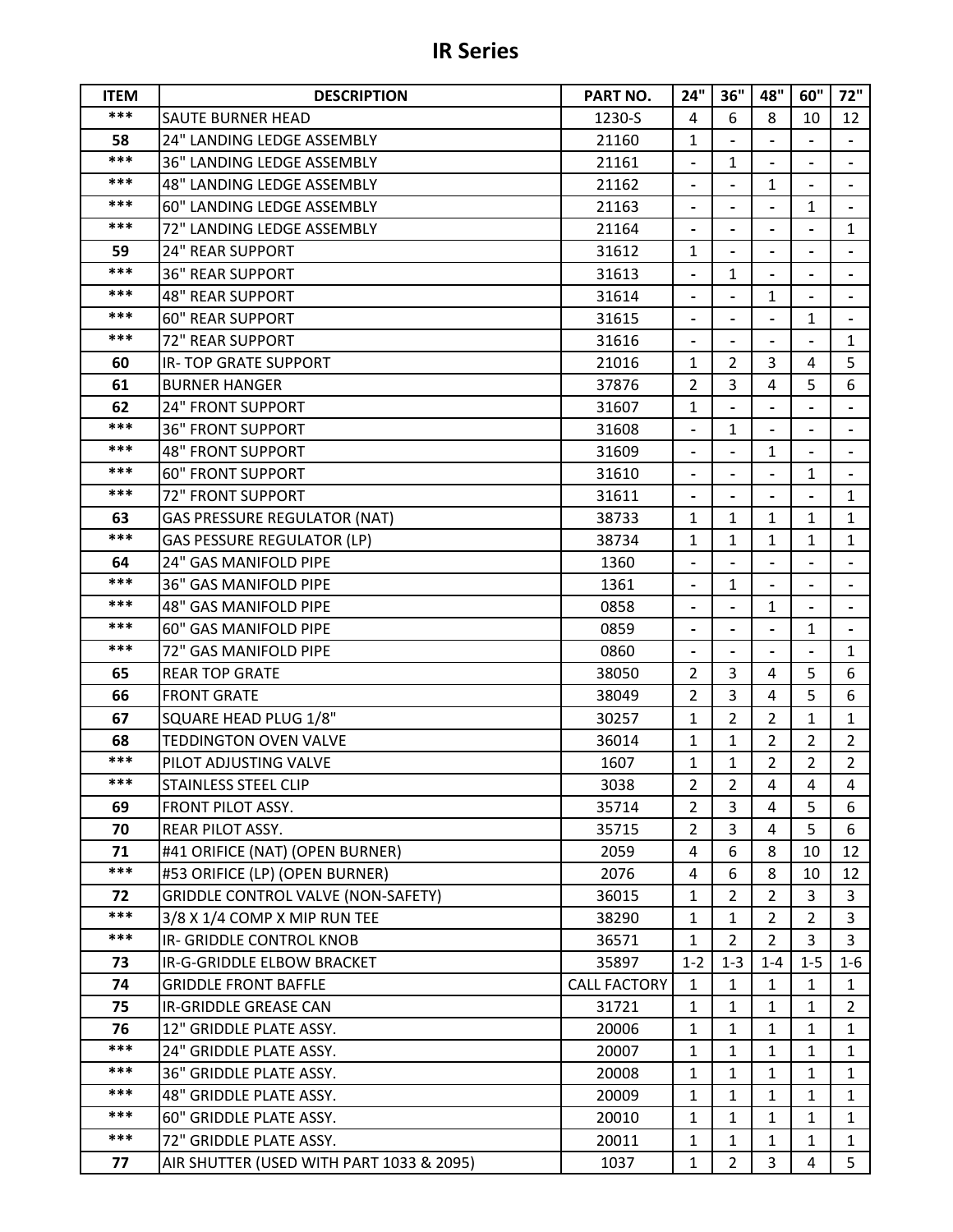|  | <b>IR Series</b> |  |
|--|------------------|--|
|--|------------------|--|

| <b>ITEM</b> | <b>DESCRIPTION</b>                                                          | PART NO.            | 24"                      | 36"               | 48"                          | 60"                      | 72"            |
|-------------|-----------------------------------------------------------------------------|---------------------|--------------------------|-------------------|------------------------------|--------------------------|----------------|
| ***         | SAUTE BURNER HEAD                                                           | 1230-S              | 4                        | 6                 | 8                            | 10                       | 12             |
| 58          | 24" LANDING LEDGE ASSEMBLY                                                  | 21160               | $\mathbf{1}$             |                   |                              |                          |                |
| ***         | 36" LANDING LEDGE ASSEMBLY                                                  | 21161               | $\frac{1}{2}$            | $\mathbf{1}$      |                              |                          |                |
| ***         | 48" LANDING LEDGE ASSEMBLY                                                  | 21162               |                          |                   | $\mathbf{1}$                 |                          |                |
| ***         | 60" LANDING LEDGE ASSEMBLY                                                  | 21163               | $\blacksquare$           | $\overline{a}$    | $\overline{a}$               | $\mathbf{1}$             | $\blacksquare$ |
| ***         | 72" LANDING LEDGE ASSEMBLY                                                  | 21164               |                          |                   |                              |                          | $\mathbf{1}$   |
| 59          | <b>24" REAR SUPPORT</b>                                                     | 31612               | $\mathbf{1}$             |                   | $\qquad \qquad \blacksquare$ | $\overline{\phantom{0}}$ |                |
| ***         | <b>36" REAR SUPPORT</b>                                                     | 31613               |                          | $\mathbf{1}$      |                              |                          | $\blacksquare$ |
| ***         | <b>48" REAR SUPPORT</b>                                                     | 31614               |                          |                   | $\mathbf{1}$                 |                          |                |
| ***         | <b>60" REAR SUPPORT</b>                                                     | 31615               | $\overline{\phantom{a}}$ | $\overline{a}$    |                              | 1                        | $\blacksquare$ |
| ***         | 72" REAR SUPPORT                                                            | 31616               |                          |                   |                              |                          | $\mathbf{1}$   |
| 60          | <b>IR-TOP GRATE SUPPORT</b>                                                 | 21016               | $\mathbf{1}$             | $\overline{2}$    | 3                            | 4                        | 5              |
| 61          | <b>BURNER HANGER</b>                                                        | 37876               | $\overline{2}$           | 3                 | 4                            | 5                        | 6              |
| 62          | <b>24" FRONT SUPPORT</b>                                                    | 31607               | $\mathbf{1}$             |                   |                              |                          |                |
| ***         | <b>36" FRONT SUPPORT</b>                                                    | 31608               |                          | 1                 |                              |                          |                |
| ***         | <b>48" FRONT SUPPORT</b>                                                    | 31609               |                          |                   | $\mathbf{1}$                 |                          |                |
| ***         | <b>60" FRONT SUPPORT</b>                                                    | 31610               |                          |                   |                              | 1                        |                |
| ***         | <b>72" FRONT SUPPORT</b>                                                    | 31611               | $\overline{\phantom{a}}$ | $\overline{a}$    | $\overline{\phantom{0}}$     |                          | $\mathbf{1}$   |
| 63          | <b>GAS PRESSURE REGULATOR (NAT)</b>                                         | 38733               | $\mathbf{1}$             | $\mathbf{1}$      | $\mathbf{1}$                 | $\mathbf{1}$             | $\mathbf{1}$   |
| ***         | <b>GAS PESSURE REGULATOR (LP)</b>                                           | 38734               | $\mathbf{1}$             | $\mathbf{1}$      | 1                            | 1                        | $\mathbf{1}$   |
| 64          | 24" GAS MANIFOLD PIPE                                                       | 1360                |                          |                   |                              |                          |                |
| ***         | <b>36" GAS MANIFOLD PIPE</b>                                                | 1361                | $\blacksquare$           | $\mathbf{1}$      |                              |                          |                |
| ***         | <b>48" GAS MANIFOLD PIPE</b>                                                | 0858                | $\blacksquare$           |                   | 1                            |                          |                |
| ***         | 60" GAS MANIFOLD PIPE                                                       | 0859                |                          |                   |                              | $\mathbf{1}$             |                |
| ***         | 72" GAS MANIFOLD PIPE                                                       | 0860                |                          |                   |                              |                          | $\mathbf{1}$   |
| 65          | <b>REAR TOP GRATE</b>                                                       | 38050               | $\overline{2}$           | 3                 | 4                            | 5                        | 6              |
| 66          | <b>FRONT GRATE</b>                                                          | 38049               | $\overline{2}$           | 3                 | 4                            | 5                        | 6              |
| 67          | SQUARE HEAD PLUG 1/8"                                                       | 30257               | 1                        | $\overline{2}$    | $\overline{2}$               | 1                        | $\mathbf{1}$   |
| 68          | <b>TEDDINGTON OVEN VALVE</b>                                                | 36014               | $\mathbf{1}$             | $\mathbf{1}$      | $\overline{2}$               | $\overline{2}$           | $\overline{2}$ |
| ***         | PILOT ADJUSTING VALVE                                                       | 1607                | $\mathbf 1$              | $\mathbf{1}$      | $\overline{2}$               | $\overline{2}$           | 2 <sup>1</sup> |
| ***         | STAINLESS STEEL CLIP                                                        | 3038                | 2                        | $\overline{2}$    | 4                            | 4                        | 4              |
| 69          | <b>FRONT PILOT ASSY.</b>                                                    | 35714               | $\overline{2}$           | 3                 | 4                            | 5                        | 6              |
| 70          | REAR PILOT ASSY.                                                            | 35715               | $\overline{2}$           | 3                 | 4                            | 5                        | 6              |
| 71<br>***   | #41 ORIFICE (NAT) (OPEN BURNER)                                             | 2059                | 4                        | 6<br>6            | 8<br>8                       | 10                       | 12             |
| 72          | #53 ORIFICE (LP) (OPEN BURNER)<br><b>GRIDDLE CONTROL VALVE (NON-SAFETY)</b> | 2076<br>36015       | 4<br>$\mathbf{1}$        |                   | $\overline{2}$               | 10<br>3                  | 12<br>3        |
| $***$       | 3/8 X 1/4 COMP X MIP RUN TEE                                                | 38290               | $\mathbf{1}$             | 2<br>$\mathbf{1}$ | $\overline{2}$               | $\overline{2}$           | $\overline{3}$ |
| ***         | IR- GRIDDLE CONTROL KNOB                                                    | 36571               | $\mathbf{1}$             | $\overline{2}$    | $\overline{2}$               | 3                        | 3              |
| 73          | IR-G-GRIDDLE ELBOW BRACKET                                                  | 35897               | $1 - 2$                  | $1 - 3$           | $1 - 4$                      | $1 - 5$                  | $1 - 6$        |
| 74          | <b>GRIDDLE FRONT BAFFLE</b>                                                 | <b>CALL FACTORY</b> | $\mathbf{1}$             | 1                 | $\mathbf{1}$                 | 1                        | $\mathbf{1}$   |
| 75          | IR-GRIDDLE GREASE CAN                                                       | 31721               | $\mathbf{1}$             | 1                 | 1                            | $\mathbf{1}$             | $\overline{2}$ |
| 76          | 12" GRIDDLE PLATE ASSY.                                                     | 20006               | $\mathbf{1}$             | $\mathbf{1}$      | $\mathbf{1}$                 | $\mathbf{1}$             | $\mathbf{1}$   |
| ***         | 24" GRIDDLE PLATE ASSY.                                                     | 20007               | 1                        | $\mathbf{1}$      | $\mathbf{1}$                 | 1                        | $\mathbf{1}$   |
| ***         | 36" GRIDDLE PLATE ASSY.                                                     | 20008               | $\mathbf{1}$             | 1                 | 1                            | 1                        | 1              |
| ***         | 48" GRIDDLE PLATE ASSY.                                                     | 20009               | $\mathbf{1}$             | $\mathbf{1}$      | $\mathbf{1}$                 | $\mathbf{1}$             | $\mathbf{1}$   |
| ***         | 60" GRIDDLE PLATE ASSY.                                                     | 20010               | $\mathbf{1}$             | 1                 | $\mathbf{1}$                 | 1                        | $\mathbf{1}$   |
| ***         | 72" GRIDDLE PLATE ASSY.                                                     | 20011               | $\mathbf{1}$             | 1                 | $\mathbf{1}$                 | $\mathbf{1}$             | $\mathbf{1}$   |
| 77          | AIR SHUTTER (USED WITH PART 1033 & 2095)                                    | 1037                | $\mathbf{1}$             | $\overline{2}$    | 3                            | 4                        | 5              |